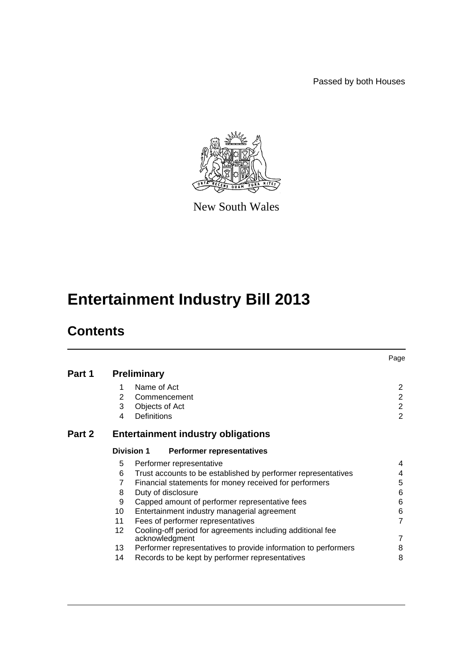Passed by both Houses



New South Wales

# **Entertainment Industry Bill 2013**

# **Contents**

|        |                                                       |                                                                              | Page           |  |  |  |
|--------|-------------------------------------------------------|------------------------------------------------------------------------------|----------------|--|--|--|
| Part 1 | <b>Preliminary</b>                                    |                                                                              |                |  |  |  |
|        | 1                                                     | Name of Act                                                                  | $\overline{2}$ |  |  |  |
|        | 2                                                     | Commencement                                                                 | $\overline{2}$ |  |  |  |
|        | 3                                                     | Objects of Act                                                               | $\overline{2}$ |  |  |  |
|        | 4                                                     | Definitions                                                                  | $\overline{2}$ |  |  |  |
| Part 2 | <b>Entertainment industry obligations</b>             |                                                                              |                |  |  |  |
|        | <b>Division 1</b><br><b>Performer representatives</b> |                                                                              |                |  |  |  |
|        | 5                                                     | Performer representative                                                     | 4              |  |  |  |
|        | 6                                                     | Trust accounts to be established by performer representatives                | 4              |  |  |  |
|        | 7                                                     | Financial statements for money received for performers                       | 5              |  |  |  |
|        | 8                                                     | Duty of disclosure                                                           | 6              |  |  |  |
|        | 9                                                     | Capped amount of performer representative fees                               | 6              |  |  |  |
|        | 10                                                    | Entertainment industry managerial agreement                                  | 6              |  |  |  |
|        | 11                                                    | Fees of performer representatives                                            | $\overline{7}$ |  |  |  |
|        | 12 <sup>°</sup>                                       | Cooling-off period for agreements including additional fee<br>acknowledgment | 7              |  |  |  |
|        | 13                                                    | Performer representatives to provide information to performers               | 8              |  |  |  |
|        | 14                                                    | Records to be kept by performer representatives                              | 8              |  |  |  |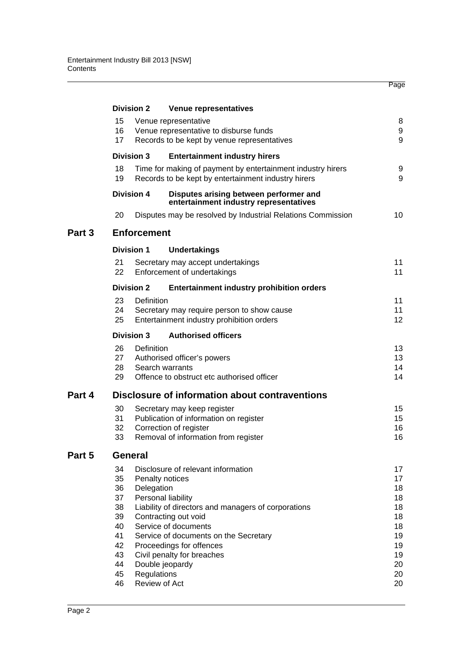|        |                                                 | <b>Division 2</b>                                                         | Venue representatives                                                                 |          |  |  |  |  |  |
|--------|-------------------------------------------------|---------------------------------------------------------------------------|---------------------------------------------------------------------------------------|----------|--|--|--|--|--|
|        | 15                                              |                                                                           | Venue representative                                                                  | 8        |  |  |  |  |  |
|        | 16                                              |                                                                           | Venue representative to disburse funds<br>Records to be kept by venue representatives | 9        |  |  |  |  |  |
|        | 17                                              | 9                                                                         |                                                                                       |          |  |  |  |  |  |
|        |                                                 | <b>Division 3</b>                                                         | <b>Entertainment industry hirers</b>                                                  |          |  |  |  |  |  |
|        | 18                                              |                                                                           | Time for making of payment by entertainment industry hirers                           | 9        |  |  |  |  |  |
|        | 19                                              |                                                                           | Records to be kept by entertainment industry hirers                                   | 9        |  |  |  |  |  |
|        |                                                 | Division 4                                                                | Disputes arising between performer and<br>entertainment industry representatives      |          |  |  |  |  |  |
|        | 20                                              |                                                                           | Disputes may be resolved by Industrial Relations Commission                           | 10       |  |  |  |  |  |
| Part 3 | <b>Enforcement</b>                              |                                                                           |                                                                                       |          |  |  |  |  |  |
|        |                                                 | <b>Division 1</b>                                                         | <b>Undertakings</b>                                                                   |          |  |  |  |  |  |
|        | 21                                              |                                                                           | Secretary may accept undertakings                                                     | 11       |  |  |  |  |  |
|        | 22                                              |                                                                           | Enforcement of undertakings                                                           | 11       |  |  |  |  |  |
|        |                                                 | <b>Division 2</b>                                                         | <b>Entertainment industry prohibition orders</b>                                      |          |  |  |  |  |  |
|        | 23                                              | Definition                                                                |                                                                                       | 11       |  |  |  |  |  |
|        | 24                                              | Secretary may require person to show cause                                |                                                                                       | 11       |  |  |  |  |  |
|        | 25                                              |                                                                           | Entertainment industry prohibition orders                                             | 12       |  |  |  |  |  |
|        | <b>Division 3</b><br><b>Authorised officers</b> |                                                                           |                                                                                       |          |  |  |  |  |  |
|        | 26                                              | Definition                                                                |                                                                                       | 13       |  |  |  |  |  |
|        | 27                                              |                                                                           | Authorised officer's powers                                                           | 13       |  |  |  |  |  |
|        | 28                                              |                                                                           | Search warrants                                                                       | 14       |  |  |  |  |  |
|        | 29                                              |                                                                           | Offence to obstruct etc authorised officer                                            | 14       |  |  |  |  |  |
| Part 4 | Disclosure of information about contraventions  |                                                                           |                                                                                       |          |  |  |  |  |  |
|        | 30                                              |                                                                           | Secretary may keep register                                                           | 15       |  |  |  |  |  |
|        | 31                                              |                                                                           | Publication of information on register                                                | 15<br>16 |  |  |  |  |  |
|        | 32                                              | Correction of register                                                    |                                                                                       |          |  |  |  |  |  |
|        | 33                                              |                                                                           | Removal of information from register                                                  | 16       |  |  |  |  |  |
| Part 5 | <b>General</b>                                  |                                                                           |                                                                                       |          |  |  |  |  |  |
|        | 34                                              |                                                                           | Disclosure of relevant information                                                    | 17       |  |  |  |  |  |
|        | 35                                              |                                                                           | Penalty notices                                                                       | 17       |  |  |  |  |  |
|        | 36                                              | Delegation                                                                |                                                                                       | 18       |  |  |  |  |  |
|        | 37                                              |                                                                           | Personal liability                                                                    | 18       |  |  |  |  |  |
|        | 38                                              |                                                                           | Liability of directors and managers of corporations                                   | 18       |  |  |  |  |  |
|        | 39                                              |                                                                           | Contracting out void                                                                  | 18<br>18 |  |  |  |  |  |
|        |                                                 | 40<br>Service of documents<br>41<br>Service of documents on the Secretary |                                                                                       |          |  |  |  |  |  |
|        | 42<br>Proceedings for offences                  |                                                                           |                                                                                       |          |  |  |  |  |  |
|        | 43                                              |                                                                           | Civil penalty for breaches                                                            | 19<br>19 |  |  |  |  |  |
|        | 44                                              |                                                                           | Double jeopardy                                                                       | 20       |  |  |  |  |  |
|        | 45                                              | Regulations                                                               |                                                                                       | 20       |  |  |  |  |  |
|        | 46                                              | Review of Act                                                             |                                                                                       |          |  |  |  |  |  |

Page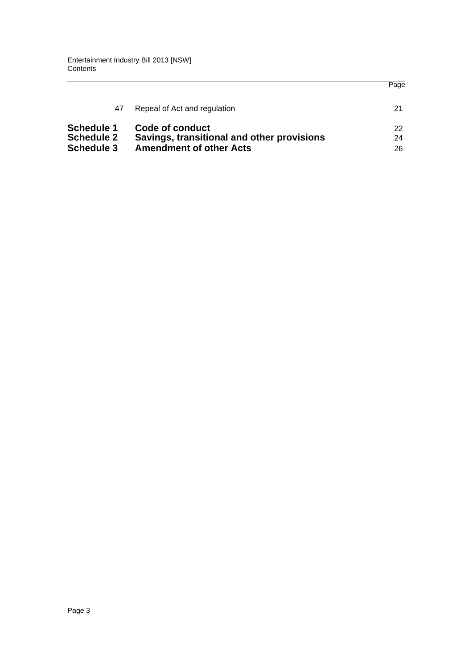|                                                             |                                                                                                 | Page           |
|-------------------------------------------------------------|-------------------------------------------------------------------------------------------------|----------------|
| 47                                                          | Repeal of Act and regulation                                                                    | 21             |
| <b>Schedule 1</b><br><b>Schedule 2</b><br><b>Schedule 3</b> | Code of conduct<br>Savings, transitional and other provisions<br><b>Amendment of other Acts</b> | 22<br>24<br>26 |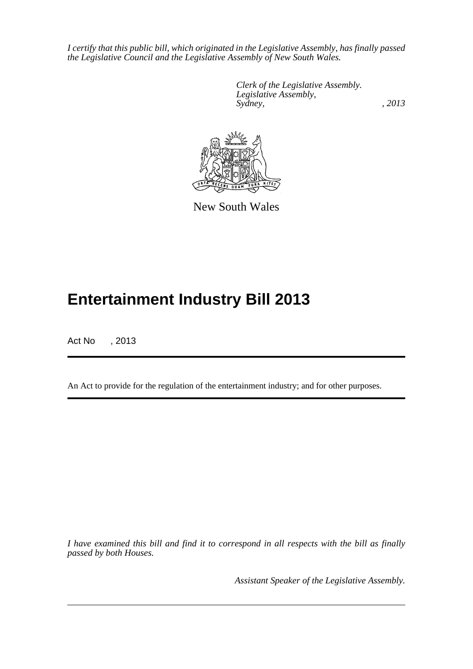*I certify that this public bill, which originated in the Legislative Assembly, has finally passed the Legislative Council and the Legislative Assembly of New South Wales.*

> *Clerk of the Legislative Assembly. Legislative Assembly, Sydney, , 2013*



New South Wales

# **Entertainment Industry Bill 2013**

Act No , 2013

An Act to provide for the regulation of the entertainment industry; and for other purposes.

*I have examined this bill and find it to correspond in all respects with the bill as finally passed by both Houses.*

*Assistant Speaker of the Legislative Assembly.*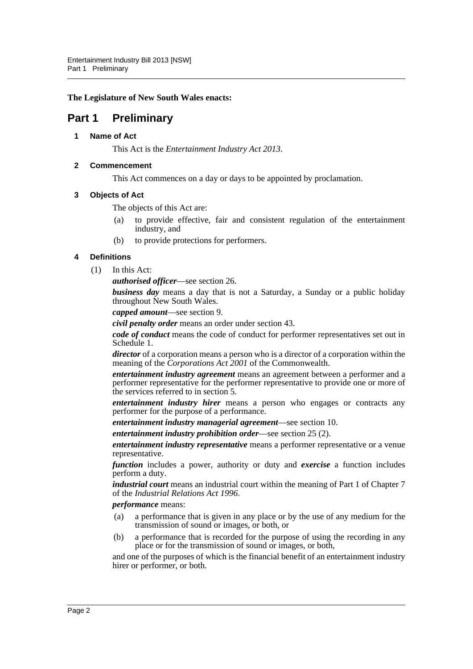#### **The Legislature of New South Wales enacts:**

# <span id="page-4-1"></span><span id="page-4-0"></span>**Part 1 Preliminary**

### **1 Name of Act**

This Act is the *Entertainment Industry Act 2013*.

## <span id="page-4-2"></span>**2 Commencement**

This Act commences on a day or days to be appointed by proclamation.

### <span id="page-4-3"></span>**3 Objects of Act**

The objects of this Act are:

- (a) to provide effective, fair and consistent regulation of the entertainment industry, and
- (b) to provide protections for performers.

### <span id="page-4-4"></span>**4 Definitions**

(1) In this Act:

*authorised officer*—see section 26.

*business day* means a day that is not a Saturday, a Sunday or a public holiday throughout New South Wales.

*capped amount*—see section 9.

*civil penalty order* means an order under section 43.

*code of conduct* means the code of conduct for performer representatives set out in Schedule 1.

*director* of a corporation means a person who is a director of a corporation within the meaning of the *Corporations Act 2001* of the Commonwealth.

*entertainment industry agreement* means an agreement between a performer and a performer representative for the performer representative to provide one or more of the services referred to in section 5.

*entertainment industry hirer* means a person who engages or contracts any performer for the purpose of a performance.

*entertainment industry managerial agreement*—see section 10.

*entertainment industry prohibition order*—see section 25 (2).

*entertainment industry representative* means a performer representative or a venue representative.

*function* includes a power, authority or duty and *exercise* a function includes perform a duty.

*industrial court* means an industrial court within the meaning of Part 1 of Chapter 7 of the *Industrial Relations Act 1996*.

*performance* means:

- (a) a performance that is given in any place or by the use of any medium for the transmission of sound or images, or both, or
- (b) a performance that is recorded for the purpose of using the recording in any place or for the transmission of sound or images, or both,

and one of the purposes of which is the financial benefit of an entertainment industry hirer or performer, or both.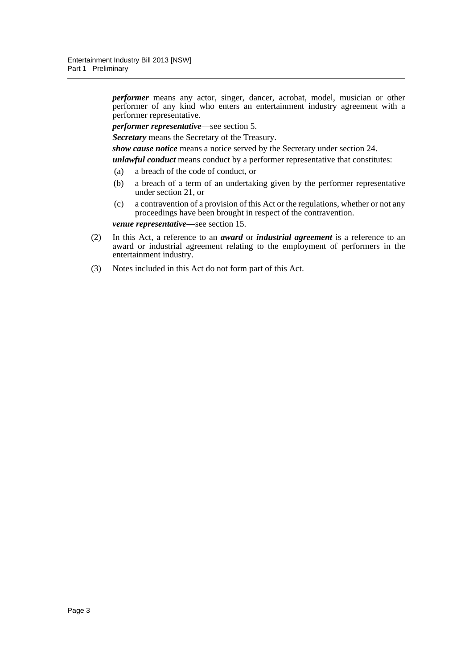*performer* means any actor, singer, dancer, acrobat, model, musician or other performer of any kind who enters an entertainment industry agreement with a performer representative.

*performer representative*—see section 5.

*Secretary* means the Secretary of the Treasury.

*show cause notice* means a notice served by the Secretary under section 24.

*unlawful conduct* means conduct by a performer representative that constitutes:

- (a) a breach of the code of conduct, or
- (b) a breach of a term of an undertaking given by the performer representative under section 21, or
- (c) a contravention of a provision of this Act or the regulations, whether or not any proceedings have been brought in respect of the contravention.

*venue representative*—see section 15.

- (2) In this Act, a reference to an *award* or *industrial agreement* is a reference to an award or industrial agreement relating to the employment of performers in the entertainment industry.
- (3) Notes included in this Act do not form part of this Act.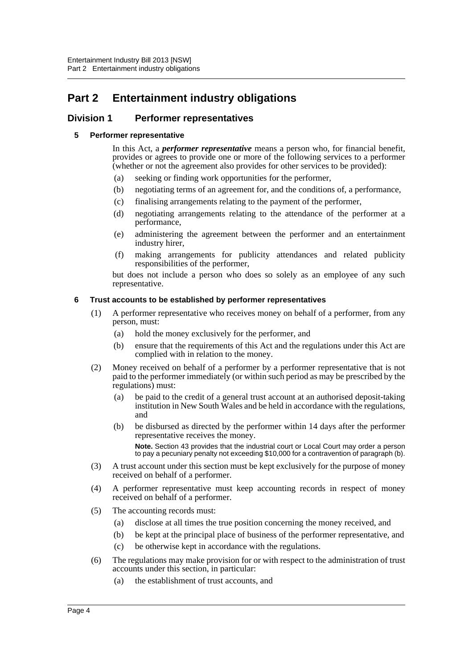# <span id="page-6-0"></span>**Part 2 Entertainment industry obligations**

# <span id="page-6-2"></span><span id="page-6-1"></span>**Division 1 Performer representatives**

### **5 Performer representative**

In this Act, a *performer representative* means a person who, for financial benefit, provides or agrees to provide one or more of the following services to a performer (whether or not the agreement also provides for other services to be provided):

- (a) seeking or finding work opportunities for the performer,
- (b) negotiating terms of an agreement for, and the conditions of, a performance,
- (c) finalising arrangements relating to the payment of the performer,
- (d) negotiating arrangements relating to the attendance of the performer at a performance,
- (e) administering the agreement between the performer and an entertainment industry hirer,
- (f) making arrangements for publicity attendances and related publicity responsibilities of the performer,

but does not include a person who does so solely as an employee of any such representative.

#### <span id="page-6-3"></span>**6 Trust accounts to be established by performer representatives**

- (1) A performer representative who receives money on behalf of a performer, from any person, must:
	- (a) hold the money exclusively for the performer, and
	- (b) ensure that the requirements of this Act and the regulations under this Act are complied with in relation to the money.
- (2) Money received on behalf of a performer by a performer representative that is not paid to the performer immediately (or within such period as may be prescribed by the regulations) must:
	- (a) be paid to the credit of a general trust account at an authorised deposit-taking institution in New South Wales and be held in accordance with the regulations, and
	- (b) be disbursed as directed by the performer within 14 days after the performer representative receives the money.

**Note.** Section 43 provides that the industrial court or Local Court may order a person to pay a pecuniary penalty not exceeding \$10,000 for a contravention of paragraph (b).

- (3) A trust account under this section must be kept exclusively for the purpose of money received on behalf of a performer.
- (4) A performer representative must keep accounting records in respect of money received on behalf of a performer.
- (5) The accounting records must:
	- (a) disclose at all times the true position concerning the money received, and
	- (b) be kept at the principal place of business of the performer representative, and
	- (c) be otherwise kept in accordance with the regulations.
- (6) The regulations may make provision for or with respect to the administration of trust accounts under this section, in particular:
	- (a) the establishment of trust accounts, and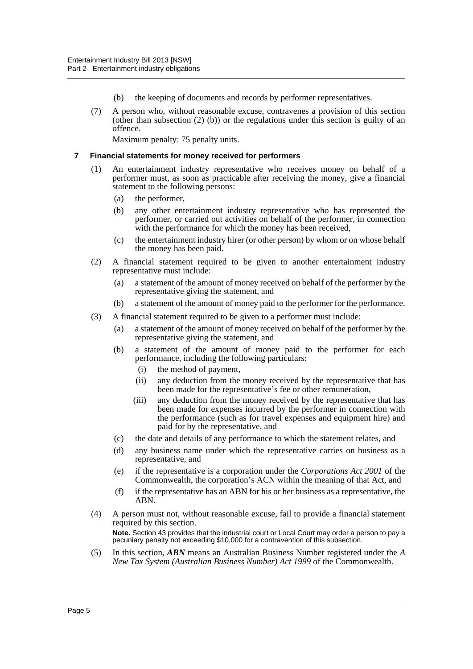- (b) the keeping of documents and records by performer representatives.
- (7) A person who, without reasonable excuse, contravenes a provision of this section (other than subsection  $(2)$  (b)) or the regulations under this section is guilty of an offence.

Maximum penalty: 75 penalty units.

#### <span id="page-7-0"></span>**7 Financial statements for money received for performers**

- (1) An entertainment industry representative who receives money on behalf of a performer must, as soon as practicable after receiving the money, give a financial statement to the following persons:
	- (a) the performer,
	- (b) any other entertainment industry representative who has represented the performer, or carried out activities on behalf of the performer, in connection with the performance for which the money has been received,
	- (c) the entertainment industry hirer (or other person) by whom or on whose behalf the money has been paid.
- (2) A financial statement required to be given to another entertainment industry representative must include:
	- (a) a statement of the amount of money received on behalf of the performer by the representative giving the statement, and
	- (b) a statement of the amount of money paid to the performer for the performance.
- (3) A financial statement required to be given to a performer must include:
	- (a) a statement of the amount of money received on behalf of the performer by the representative giving the statement, and
	- (b) a statement of the amount of money paid to the performer for each performance, including the following particulars:
		- (i) the method of payment,
		- (ii) any deduction from the money received by the representative that has been made for the representative's fee or other remuneration,
		- (iii) any deduction from the money received by the representative that has been made for expenses incurred by the performer in connection with the performance (such as for travel expenses and equipment hire) and paid for by the representative, and
	- (c) the date and details of any performance to which the statement relates, and
	- (d) any business name under which the representative carries on business as a representative, and
	- (e) if the representative is a corporation under the *Corporations Act 2001* of the Commonwealth, the corporation's ACN within the meaning of that Act, and
	- (f) if the representative has an ABN for his or her business as a representative, the ABN.
- (4) A person must not, without reasonable excuse, fail to provide a financial statement required by this section. **Note.** Section 43 provides that the industrial court or Local Court may order a person to pay a pecuniary penalty not exceeding \$10,000 for a contravention of this subsection.
- (5) In this section, *ABN* means an Australian Business Number registered under the *A New Tax System (Australian Business Number) Act 1999* of the Commonwealth.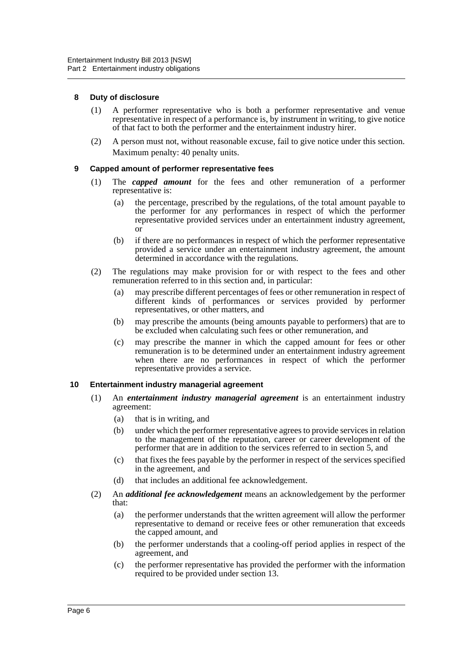#### <span id="page-8-0"></span>**8 Duty of disclosure**

- (1) A performer representative who is both a performer representative and venue representative in respect of a performance is, by instrument in writing, to give notice of that fact to both the performer and the entertainment industry hirer.
- (2) A person must not, without reasonable excuse, fail to give notice under this section. Maximum penalty: 40 penalty units.

#### <span id="page-8-1"></span>**9 Capped amount of performer representative fees**

- (1) The *capped amount* for the fees and other remuneration of a performer representative is:
	- (a) the percentage, prescribed by the regulations, of the total amount payable to the performer for any performances in respect of which the performer representative provided services under an entertainment industry agreement, or
	- (b) if there are no performances in respect of which the performer representative provided a service under an entertainment industry agreement, the amount determined in accordance with the regulations.
- (2) The regulations may make provision for or with respect to the fees and other remuneration referred to in this section and, in particular:
	- (a) may prescribe different percentages of fees or other remuneration in respect of different kinds of performances or services provided by performer representatives, or other matters, and
	- (b) may prescribe the amounts (being amounts payable to performers) that are to be excluded when calculating such fees or other remuneration, and
	- (c) may prescribe the manner in which the capped amount for fees or other remuneration is to be determined under an entertainment industry agreement when there are no performances in respect of which the performer representative provides a service.

#### <span id="page-8-2"></span>**10 Entertainment industry managerial agreement**

- (1) An *entertainment industry managerial agreement* is an entertainment industry agreement:
	- (a) that is in writing, and
	- (b) under which the performer representative agrees to provide services in relation to the management of the reputation, career or career development of the performer that are in addition to the services referred to in section 5, and
	- (c) that fixes the fees payable by the performer in respect of the services specified in the agreement, and
	- (d) that includes an additional fee acknowledgement.
- (2) An *additional fee acknowledgement* means an acknowledgement by the performer that:
	- (a) the performer understands that the written agreement will allow the performer representative to demand or receive fees or other remuneration that exceeds the capped amount, and
	- (b) the performer understands that a cooling-off period applies in respect of the agreement, and
	- (c) the performer representative has provided the performer with the information required to be provided under section 13.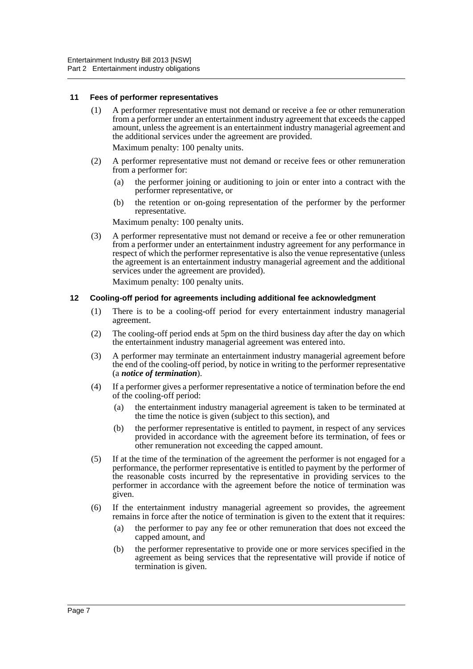#### <span id="page-9-0"></span>**11 Fees of performer representatives**

(1) A performer representative must not demand or receive a fee or other remuneration from a performer under an entertainment industry agreement that exceeds the capped amount, unless the agreement is an entertainment industry managerial agreement and the additional services under the agreement are provided.

Maximum penalty: 100 penalty units.

- (2) A performer representative must not demand or receive fees or other remuneration from a performer for:
	- (a) the performer joining or auditioning to join or enter into a contract with the performer representative, or
	- (b) the retention or on-going representation of the performer by the performer representative.

Maximum penalty: 100 penalty units.

(3) A performer representative must not demand or receive a fee or other remuneration from a performer under an entertainment industry agreement for any performance in respect of which the performer representative is also the venue representative (unless the agreement is an entertainment industry managerial agreement and the additional services under the agreement are provided).

Maximum penalty: 100 penalty units.

#### <span id="page-9-1"></span>**12 Cooling-off period for agreements including additional fee acknowledgment**

- (1) There is to be a cooling-off period for every entertainment industry managerial agreement.
- (2) The cooling-off period ends at 5pm on the third business day after the day on which the entertainment industry managerial agreement was entered into.
- (3) A performer may terminate an entertainment industry managerial agreement before the end of the cooling-off period, by notice in writing to the performer representative (a *notice of termination*).
- (4) If a performer gives a performer representative a notice of termination before the end of the cooling-off period:
	- (a) the entertainment industry managerial agreement is taken to be terminated at the time the notice is given (subject to this section), and
	- (b) the performer representative is entitled to payment, in respect of any services provided in accordance with the agreement before its termination, of fees or other remuneration not exceeding the capped amount.
- (5) If at the time of the termination of the agreement the performer is not engaged for a performance, the performer representative is entitled to payment by the performer of the reasonable costs incurred by the representative in providing services to the performer in accordance with the agreement before the notice of termination was given.
- (6) If the entertainment industry managerial agreement so provides, the agreement remains in force after the notice of termination is given to the extent that it requires:
	- (a) the performer to pay any fee or other remuneration that does not exceed the capped amount, and
	- (b) the performer representative to provide one or more services specified in the agreement as being services that the representative will provide if notice of termination is given.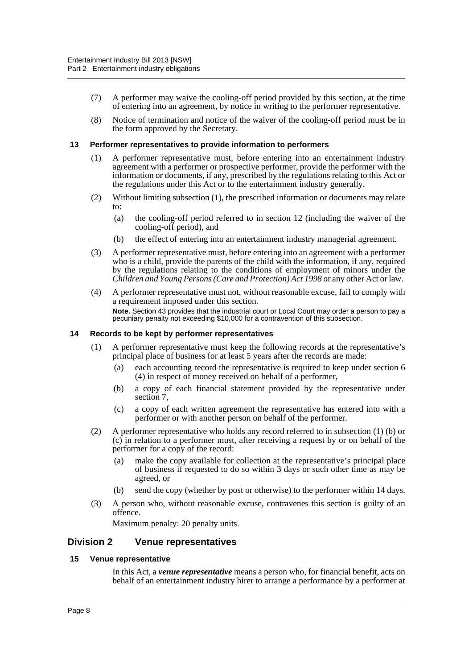- (7) A performer may waive the cooling-off period provided by this section, at the time of entering into an agreement, by notice in writing to the performer representative.
- (8) Notice of termination and notice of the waiver of the cooling-off period must be in the form approved by the Secretary.

#### <span id="page-10-0"></span>**13 Performer representatives to provide information to performers**

- (1) A performer representative must, before entering into an entertainment industry agreement with a performer or prospective performer, provide the performer with the information or documents, if any, prescribed by the regulations relating to this Act or the regulations under this Act or to the entertainment industry generally.
- (2) Without limiting subsection (1), the prescribed information or documents may relate to:
	- (a) the cooling-off period referred to in section 12 (including the waiver of the cooling-off period), and
	- (b) the effect of entering into an entertainment industry managerial agreement.
- (3) A performer representative must, before entering into an agreement with a performer who is a child, provide the parents of the child with the information, if any, required by the regulations relating to the conditions of employment of minors under the *Children and Young Persons (Care and Protection) Act 1998* or any other Act or law.
- (4) A performer representative must not, without reasonable excuse, fail to comply with a requirement imposed under this section. **Note.** Section 43 provides that the industrial court or Local Court may order a person to pay a pecuniary penalty not exceeding \$10,000 for a contravention of this subsection.

#### <span id="page-10-1"></span>**14 Records to be kept by performer representatives**

- (1) A performer representative must keep the following records at the representative's principal place of business for at least 5 years after the records are made:
	- (a) each accounting record the representative is required to keep under section 6 (4) in respect of money received on behalf of a performer,
	- (b) a copy of each financial statement provided by the representative under section 7,
	- (c) a copy of each written agreement the representative has entered into with a performer or with another person on behalf of the performer.
- (2) A performer representative who holds any record referred to in subsection (1) (b) or (c) in relation to a performer must, after receiving a request by or on behalf of the performer for a copy of the record:
	- (a) make the copy available for collection at the representative's principal place of business if requested to do so within 3 days or such other time as may be agreed, or
	- (b) send the copy (whether by post or otherwise) to the performer within 14 days.
- (3) A person who, without reasonable excuse, contravenes this section is guilty of an offence.

Maximum penalty: 20 penalty units.

# <span id="page-10-2"></span>**Division 2 Venue representatives**

#### <span id="page-10-3"></span>**15 Venue representative**

In this Act, a *venue representative* means a person who, for financial benefit, acts on behalf of an entertainment industry hirer to arrange a performance by a performer at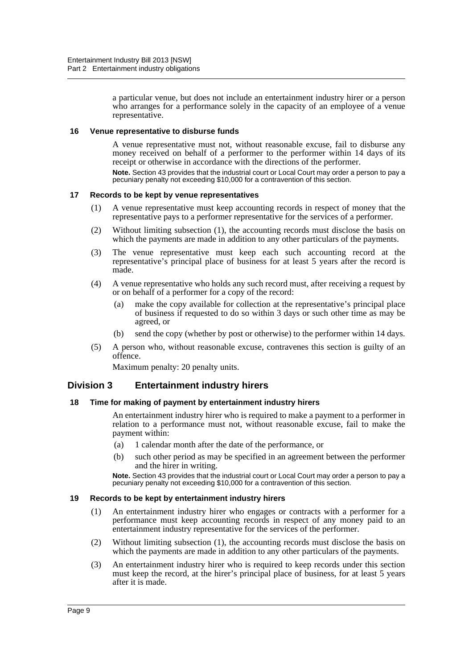a particular venue, but does not include an entertainment industry hirer or a person who arranges for a performance solely in the capacity of an employee of a venue representative.

#### <span id="page-11-0"></span>**16 Venue representative to disburse funds**

A venue representative must not, without reasonable excuse, fail to disburse any money received on behalf of a performer to the performer within 14 days of its receipt or otherwise in accordance with the directions of the performer. **Note.** Section 43 provides that the industrial court or Local Court may order a person to pay a pecuniary penalty not exceeding \$10,000 for a contravention of this section.

#### <span id="page-11-1"></span>**17 Records to be kept by venue representatives**

- (1) A venue representative must keep accounting records in respect of money that the representative pays to a performer representative for the services of a performer.
- (2) Without limiting subsection (1), the accounting records must disclose the basis on which the payments are made in addition to any other particulars of the payments.
- (3) The venue representative must keep each such accounting record at the representative's principal place of business for at least 5 years after the record is made.
- (4) A venue representative who holds any such record must, after receiving a request by or on behalf of a performer for a copy of the record:
	- (a) make the copy available for collection at the representative's principal place of business if requested to do so within 3 days or such other time as may be agreed, or
	- (b) send the copy (whether by post or otherwise) to the performer within 14 days.
- (5) A person who, without reasonable excuse, contravenes this section is guilty of an offence.

Maximum penalty: 20 penalty units.

# <span id="page-11-2"></span>**Division 3 Entertainment industry hirers**

#### <span id="page-11-3"></span>**18 Time for making of payment by entertainment industry hirers**

An entertainment industry hirer who is required to make a payment to a performer in relation to a performance must not, without reasonable excuse, fail to make the payment within:

- (a) 1 calendar month after the date of the performance, or
- (b) such other period as may be specified in an agreement between the performer and the hirer in writing.

**Note.** Section 43 provides that the industrial court or Local Court may order a person to pay a pecuniary penalty not exceeding \$10,000 for a contravention of this section.

#### <span id="page-11-4"></span>**19 Records to be kept by entertainment industry hirers**

- (1) An entertainment industry hirer who engages or contracts with a performer for a performance must keep accounting records in respect of any money paid to an entertainment industry representative for the services of the performer.
- (2) Without limiting subsection (1), the accounting records must disclose the basis on which the payments are made in addition to any other particulars of the payments.
- (3) An entertainment industry hirer who is required to keep records under this section must keep the record, at the hirer's principal place of business, for at least 5 years after it is made.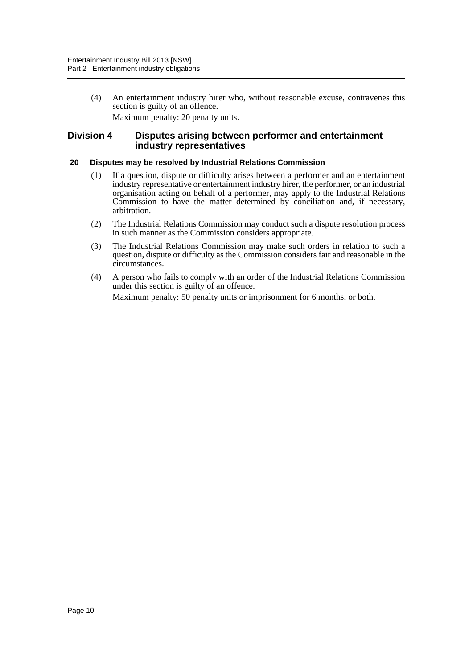(4) An entertainment industry hirer who, without reasonable excuse, contravenes this section is guilty of an offence. Maximum penalty: 20 penalty units.

### <span id="page-12-0"></span>**Division 4 Disputes arising between performer and entertainment industry representatives**

#### <span id="page-12-1"></span>**20 Disputes may be resolved by Industrial Relations Commission**

- (1) If a question, dispute or difficulty arises between a performer and an entertainment industry representative or entertainment industry hirer, the performer, or an industrial organisation acting on behalf of a performer, may apply to the Industrial Relations Commission to have the matter determined by conciliation and, if necessary, arbitration.
- (2) The Industrial Relations Commission may conduct such a dispute resolution process in such manner as the Commission considers appropriate.
- (3) The Industrial Relations Commission may make such orders in relation to such a question, dispute or difficulty as the Commission considers fair and reasonable in the circumstances.
- (4) A person who fails to comply with an order of the Industrial Relations Commission under this section is guilty of an offence. Maximum penalty: 50 penalty units or imprisonment for 6 months, or both.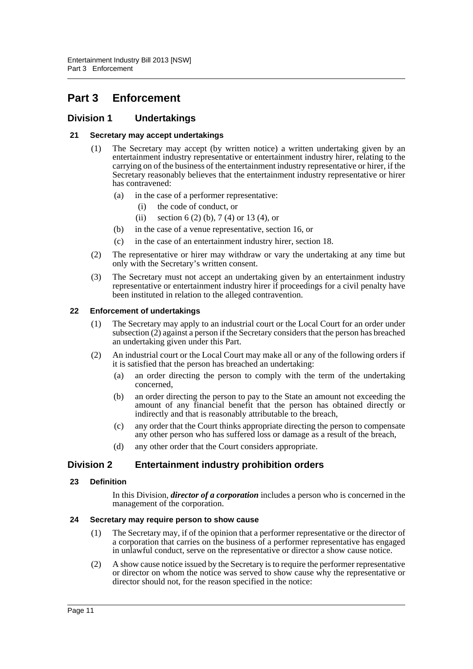# <span id="page-13-0"></span>**Part 3 Enforcement**

# <span id="page-13-1"></span>**Division 1 Undertakings**

## <span id="page-13-2"></span>**21 Secretary may accept undertakings**

- (1) The Secretary may accept (by written notice) a written undertaking given by an entertainment industry representative or entertainment industry hirer, relating to the carrying on of the business of the entertainment industry representative or hirer, if the Secretary reasonably believes that the entertainment industry representative or hirer has contravened:
	- (a) in the case of a performer representative:
		- (i) the code of conduct, or
		- (ii) section 6 (2) (b), 7 (4) or 13 (4), or
	- (b) in the case of a venue representative, section 16, or
	- (c) in the case of an entertainment industry hirer, section 18.
- (2) The representative or hirer may withdraw or vary the undertaking at any time but only with the Secretary's written consent.
- (3) The Secretary must not accept an undertaking given by an entertainment industry representative or entertainment industry hirer if proceedings for a civil penalty have been instituted in relation to the alleged contravention.

#### <span id="page-13-3"></span>**22 Enforcement of undertakings**

- (1) The Secretary may apply to an industrial court or the Local Court for an order under subsection (2) against a person if the Secretary considers that the person has breached an undertaking given under this Part.
- (2) An industrial court or the Local Court may make all or any of the following orders if it is satisfied that the person has breached an undertaking:
	- (a) an order directing the person to comply with the term of the undertaking concerned,
	- (b) an order directing the person to pay to the State an amount not exceeding the amount of any financial benefit that the person has obtained directly or indirectly and that is reasonably attributable to the breach,
	- (c) any order that the Court thinks appropriate directing the person to compensate any other person who has suffered loss or damage as a result of the breach,
	- (d) any other order that the Court considers appropriate.

# <span id="page-13-4"></span>**Division 2 Entertainment industry prohibition orders**

#### <span id="page-13-5"></span>**23 Definition**

In this Division, *director of a corporation* includes a person who is concerned in the management of the corporation.

#### <span id="page-13-6"></span>**24 Secretary may require person to show cause**

- (1) The Secretary may, if of the opinion that a performer representative or the director of a corporation that carries on the business of a performer representative has engaged in unlawful conduct, serve on the representative or director a show cause notice.
- (2) A show cause notice issued by the Secretary is to require the performer representative or director on whom the notice was served to show cause why the representative or director should not, for the reason specified in the notice: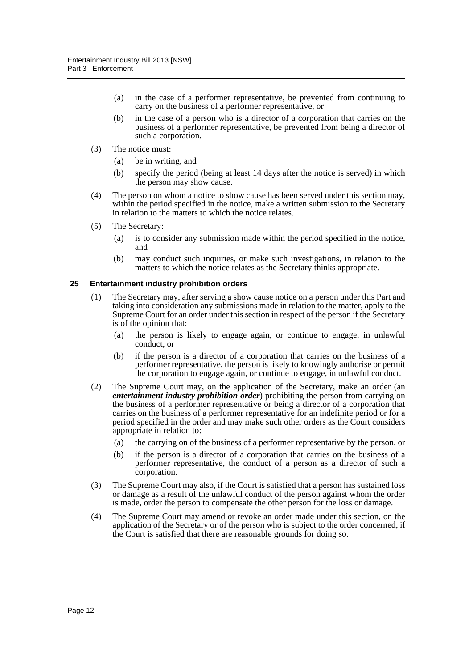- (a) in the case of a performer representative, be prevented from continuing to carry on the business of a performer representative, or
- (b) in the case of a person who is a director of a corporation that carries on the business of a performer representative, be prevented from being a director of such a corporation.
- (3) The notice must:
	- (a) be in writing, and
	- (b) specify the period (being at least 14 days after the notice is served) in which the person may show cause.
- (4) The person on whom a notice to show cause has been served under this section may, within the period specified in the notice, make a written submission to the Secretary in relation to the matters to which the notice relates.
- (5) The Secretary:
	- (a) is to consider any submission made within the period specified in the notice, and
	- (b) may conduct such inquiries, or make such investigations, in relation to the matters to which the notice relates as the Secretary thinks appropriate.

#### <span id="page-14-0"></span>**25 Entertainment industry prohibition orders**

- (1) The Secretary may, after serving a show cause notice on a person under this Part and taking into consideration any submissions made in relation to the matter, apply to the Supreme Court for an order under this section in respect of the person if the Secretary is of the opinion that:
	- (a) the person is likely to engage again, or continue to engage, in unlawful conduct, or
	- (b) if the person is a director of a corporation that carries on the business of a performer representative, the person is likely to knowingly authorise or permit the corporation to engage again, or continue to engage, in unlawful conduct.
- (2) The Supreme Court may, on the application of the Secretary, make an order (an *entertainment industry prohibition order*) prohibiting the person from carrying on the business of a performer representative or being a director of a corporation that carries on the business of a performer representative for an indefinite period or for a period specified in the order and may make such other orders as the Court considers appropriate in relation to:
	- (a) the carrying on of the business of a performer representative by the person, or
	- (b) if the person is a director of a corporation that carries on the business of a performer representative, the conduct of a person as a director of such a corporation.
- (3) The Supreme Court may also, if the Court is satisfied that a person has sustained loss or damage as a result of the unlawful conduct of the person against whom the order is made, order the person to compensate the other person for the loss or damage.
- (4) The Supreme Court may amend or revoke an order made under this section, on the application of the Secretary or of the person who is subject to the order concerned, if the Court is satisfied that there are reasonable grounds for doing so.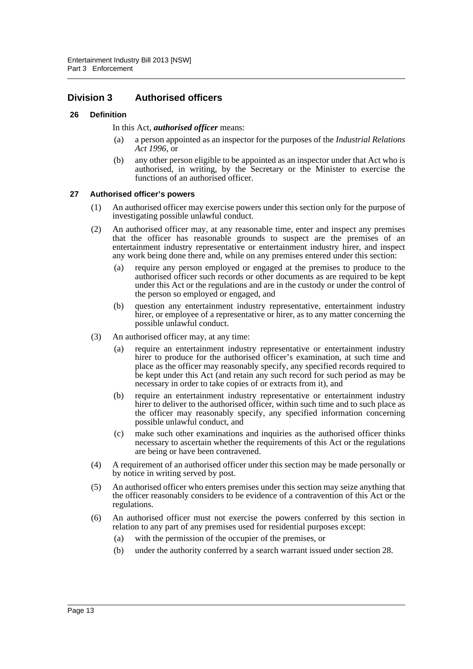# <span id="page-15-0"></span>**Division 3 Authorised officers**

#### <span id="page-15-1"></span>**26 Definition**

#### In this Act, *authorised officer* means:

- (a) a person appointed as an inspector for the purposes of the *Industrial Relations Act 1996*, or
- (b) any other person eligible to be appointed as an inspector under that Act who is authorised, in writing, by the Secretary or the Minister to exercise the functions of an authorised officer.

#### <span id="page-15-2"></span>**27 Authorised officer's powers**

- (1) An authorised officer may exercise powers under this section only for the purpose of investigating possible unlawful conduct.
- (2) An authorised officer may, at any reasonable time, enter and inspect any premises that the officer has reasonable grounds to suspect are the premises of an entertainment industry representative or entertainment industry hirer, and inspect any work being done there and, while on any premises entered under this section:
	- (a) require any person employed or engaged at the premises to produce to the authorised officer such records or other documents as are required to be kept under this Act or the regulations and are in the custody or under the control of the person so employed or engaged, and
	- (b) question any entertainment industry representative, entertainment industry hirer, or employee of a representative or hirer, as to any matter concerning the possible unlawful conduct.
- (3) An authorised officer may, at any time:
	- (a) require an entertainment industry representative or entertainment industry hirer to produce for the authorised officer's examination, at such time and place as the officer may reasonably specify, any specified records required to be kept under this Act (and retain any such record for such period as may be necessary in order to take copies of or extracts from it), and
	- (b) require an entertainment industry representative or entertainment industry hirer to deliver to the authorised officer, within such time and to such place as the officer may reasonably specify, any specified information concerning possible unlawful conduct, and
	- (c) make such other examinations and inquiries as the authorised officer thinks necessary to ascertain whether the requirements of this Act or the regulations are being or have been contravened.
- (4) A requirement of an authorised officer under this section may be made personally or by notice in writing served by post.
- (5) An authorised officer who enters premises under this section may seize anything that the officer reasonably considers to be evidence of a contravention of this Act or the regulations.
- (6) An authorised officer must not exercise the powers conferred by this section in relation to any part of any premises used for residential purposes except:
	- (a) with the permission of the occupier of the premises, or
	- (b) under the authority conferred by a search warrant issued under section 28.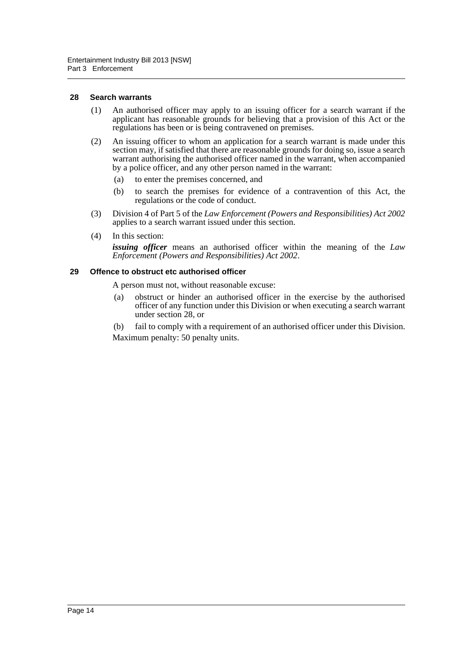#### <span id="page-16-0"></span>**28 Search warrants**

- (1) An authorised officer may apply to an issuing officer for a search warrant if the applicant has reasonable grounds for believing that a provision of this Act or the regulations has been or is being contravened on premises.
- (2) An issuing officer to whom an application for a search warrant is made under this section may, if satisfied that there are reasonable grounds for doing so, issue a search warrant authorising the authorised officer named in the warrant, when accompanied by a police officer, and any other person named in the warrant:
	- (a) to enter the premises concerned, and
	- (b) to search the premises for evidence of a contravention of this Act, the regulations or the code of conduct.
- (3) Division 4 of Part 5 of the *Law Enforcement (Powers and Responsibilities) Act 2002* applies to a search warrant issued under this section.
- (4) In this section:

*issuing officer* means an authorised officer within the meaning of the *Law Enforcement (Powers and Responsibilities) Act 2002*.

#### <span id="page-16-1"></span>**29 Offence to obstruct etc authorised officer**

A person must not, without reasonable excuse:

- (a) obstruct or hinder an authorised officer in the exercise by the authorised officer of any function under this Division or when executing a search warrant under section 28, or
- (b) fail to comply with a requirement of an authorised officer under this Division. Maximum penalty: 50 penalty units.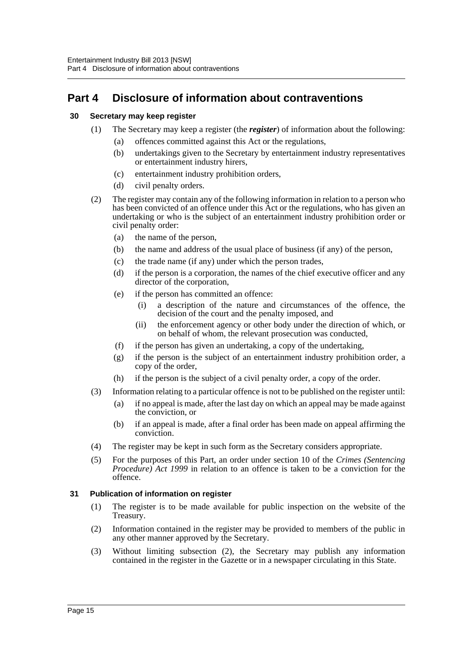# <span id="page-17-0"></span>**Part 4 Disclosure of information about contraventions**

## <span id="page-17-1"></span>**30 Secretary may keep register**

- (1) The Secretary may keep a register (the *register*) of information about the following:
	- (a) offences committed against this Act or the regulations,
	- (b) undertakings given to the Secretary by entertainment industry representatives or entertainment industry hirers,
	- (c) entertainment industry prohibition orders,
	- (d) civil penalty orders.
- (2) The register may contain any of the following information in relation to a person who has been convicted of an offence under this Act or the regulations, who has given an undertaking or who is the subject of an entertainment industry prohibition order or civil penalty order:
	- (a) the name of the person,
	- (b) the name and address of the usual place of business (if any) of the person,
	- (c) the trade name (if any) under which the person trades,
	- (d) if the person is a corporation, the names of the chief executive officer and any director of the corporation,
	- (e) if the person has committed an offence:
		- (i) a description of the nature and circumstances of the offence, the decision of the court and the penalty imposed, and
		- (ii) the enforcement agency or other body under the direction of which, or on behalf of whom, the relevant prosecution was conducted,
	- (f) if the person has given an undertaking, a copy of the undertaking,
	- (g) if the person is the subject of an entertainment industry prohibition order, a copy of the order,
	- (h) if the person is the subject of a civil penalty order, a copy of the order.
- (3) Information relating to a particular offence is not to be published on the register until:
	- (a) if no appeal is made, after the last day on which an appeal may be made against the conviction, or
	- (b) if an appeal is made, after a final order has been made on appeal affirming the conviction.
- (4) The register may be kept in such form as the Secretary considers appropriate.
- (5) For the purposes of this Part, an order under section 10 of the *Crimes (Sentencing Procedure) Act 1999* in relation to an offence is taken to be a conviction for the offence.

# <span id="page-17-2"></span>**31 Publication of information on register**

- (1) The register is to be made available for public inspection on the website of the Treasury.
- (2) Information contained in the register may be provided to members of the public in any other manner approved by the Secretary.
- (3) Without limiting subsection (2), the Secretary may publish any information contained in the register in the Gazette or in a newspaper circulating in this State.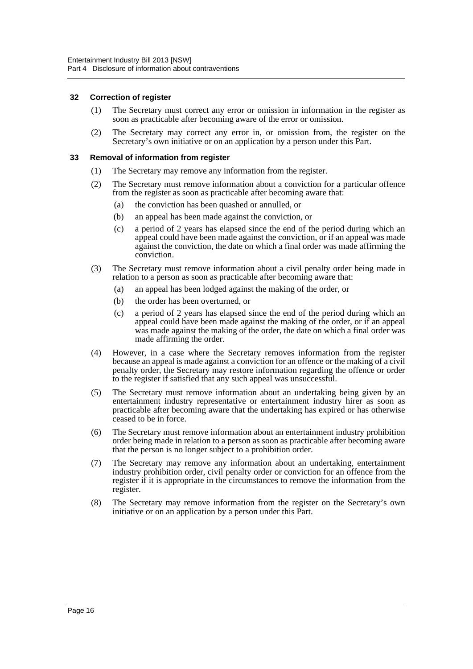#### <span id="page-18-0"></span>**32 Correction of register**

- (1) The Secretary must correct any error or omission in information in the register as soon as practicable after becoming aware of the error or omission.
- (2) The Secretary may correct any error in, or omission from, the register on the Secretary's own initiative or on an application by a person under this Part.

#### <span id="page-18-1"></span>**33 Removal of information from register**

- (1) The Secretary may remove any information from the register.
- (2) The Secretary must remove information about a conviction for a particular offence from the register as soon as practicable after becoming aware that:
	- (a) the conviction has been quashed or annulled, or
	- (b) an appeal has been made against the conviction, or
	- (c) a period of 2 years has elapsed since the end of the period during which an appeal could have been made against the conviction, or if an appeal was made against the conviction, the date on which a final order was made affirming the conviction.
- (3) The Secretary must remove information about a civil penalty order being made in relation to a person as soon as practicable after becoming aware that:
	- (a) an appeal has been lodged against the making of the order, or
	- (b) the order has been overturned, or
	- (c) a period of 2 years has elapsed since the end of the period during which an appeal could have been made against the making of the order, or if an appeal was made against the making of the order, the date on which a final order was made affirming the order.
- (4) However, in a case where the Secretary removes information from the register because an appeal is made against a conviction for an offence or the making of a civil penalty order, the Secretary may restore information regarding the offence or order to the register if satisfied that any such appeal was unsuccessful.
- (5) The Secretary must remove information about an undertaking being given by an entertainment industry representative or entertainment industry hirer as soon as practicable after becoming aware that the undertaking has expired or has otherwise ceased to be in force.
- (6) The Secretary must remove information about an entertainment industry prohibition order being made in relation to a person as soon as practicable after becoming aware that the person is no longer subject to a prohibition order.
- (7) The Secretary may remove any information about an undertaking, entertainment industry prohibition order, civil penalty order or conviction for an offence from the register if it is appropriate in the circumstances to remove the information from the register.
- (8) The Secretary may remove information from the register on the Secretary's own initiative or on an application by a person under this Part.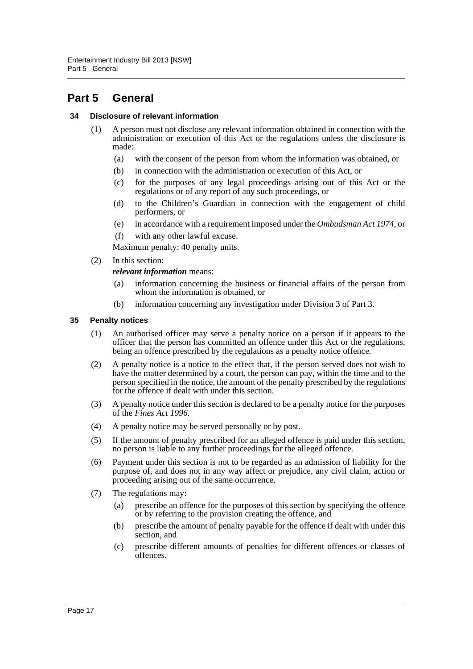# <span id="page-19-0"></span>**Part 5 General**

#### <span id="page-19-1"></span>**34 Disclosure of relevant information**

- (1) A person must not disclose any relevant information obtained in connection with the administration or execution of this Act or the regulations unless the disclosure is made:
	- (a) with the consent of the person from whom the information was obtained, or
	- (b) in connection with the administration or execution of this Act, or
	- (c) for the purposes of any legal proceedings arising out of this Act or the regulations or of any report of any such proceedings, or
	- (d) to the Children's Guardian in connection with the engagement of child performers, or
	- (e) in accordance with a requirement imposed under the *Ombudsman Act 1974*, or
	- (f) with any other lawful excuse.

Maximum penalty: 40 penalty units.

(2) In this section:

*relevant information* means:

- (a) information concerning the business or financial affairs of the person from whom the information is obtained, or
- (b) information concerning any investigation under Division 3 of Part 3.

#### <span id="page-19-2"></span>**35 Penalty notices**

- (1) An authorised officer may serve a penalty notice on a person if it appears to the officer that the person has committed an offence under this Act or the regulations, being an offence prescribed by the regulations as a penalty notice offence.
- (2) A penalty notice is a notice to the effect that, if the person served does not wish to have the matter determined by a court, the person can pay, within the time and to the person specified in the notice, the amount of the penalty prescribed by the regulations for the offence if dealt with under this section.
- (3) A penalty notice under this section is declared to be a penalty notice for the purposes of the *Fines Act 1996*.
- (4) A penalty notice may be served personally or by post.
- (5) If the amount of penalty prescribed for an alleged offence is paid under this section, no person is liable to any further proceedings for the alleged offence.
- (6) Payment under this section is not to be regarded as an admission of liability for the purpose of, and does not in any way affect or prejudice, any civil claim, action or proceeding arising out of the same occurrence.
- (7) The regulations may:
	- (a) prescribe an offence for the purposes of this section by specifying the offence or by referring to the provision creating the offence, and
	- (b) prescribe the amount of penalty payable for the offence if dealt with under this section, and
	- (c) prescribe different amounts of penalties for different offences or classes of offences.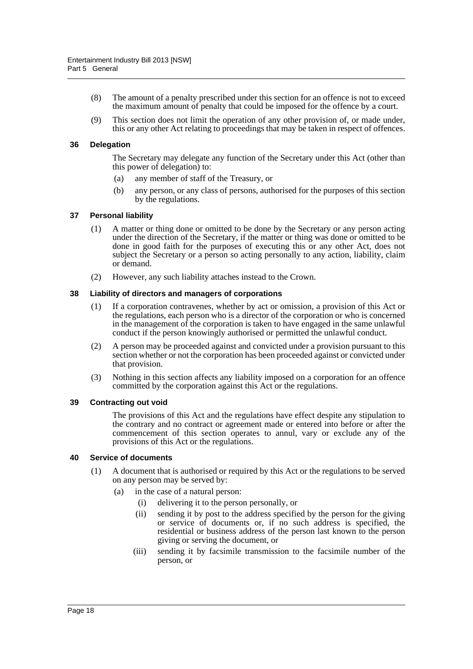- (8) The amount of a penalty prescribed under this section for an offence is not to exceed the maximum amount of penalty that could be imposed for the offence by a court.
- (9) This section does not limit the operation of any other provision of, or made under, this or any other Act relating to proceedings that may be taken in respect of offences.

#### <span id="page-20-0"></span>**36 Delegation**

The Secretary may delegate any function of the Secretary under this Act (other than this power of delegation) to:

- (a) any member of staff of the Treasury, or
- (b) any person, or any class of persons, authorised for the purposes of this section by the regulations.

#### <span id="page-20-1"></span>**37 Personal liability**

- (1) A matter or thing done or omitted to be done by the Secretary or any person acting under the direction of the Secretary, if the matter or thing was done or omitted to be done in good faith for the purposes of executing this or any other Act, does not subject the Secretary or a person so acting personally to any action, liability, claim or demand.
- (2) However, any such liability attaches instead to the Crown.

#### <span id="page-20-2"></span>**38 Liability of directors and managers of corporations**

- (1) If a corporation contravenes, whether by act or omission, a provision of this Act or the regulations, each person who is a director of the corporation or who is concerned in the management of the corporation is taken to have engaged in the same unlawful conduct if the person knowingly authorised or permitted the unlawful conduct.
- (2) A person may be proceeded against and convicted under a provision pursuant to this section whether or not the corporation has been proceeded against or convicted under that provision.
- (3) Nothing in this section affects any liability imposed on a corporation for an offence committed by the corporation against this Act or the regulations.

#### <span id="page-20-3"></span>**39 Contracting out void**

The provisions of this Act and the regulations have effect despite any stipulation to the contrary and no contract or agreement made or entered into before or after the commencement of this section operates to annul, vary or exclude any of the provisions of this Act or the regulations.

#### <span id="page-20-4"></span>**40 Service of documents**

- (1) A document that is authorised or required by this Act or the regulations to be served on any person may be served by:
	- (a) in the case of a natural person:
		- (i) delivering it to the person personally, or
		- (ii) sending it by post to the address specified by the person for the giving or service of documents or, if no such address is specified, the residential or business address of the person last known to the person giving or serving the document, or
		- (iii) sending it by facsimile transmission to the facsimile number of the person, or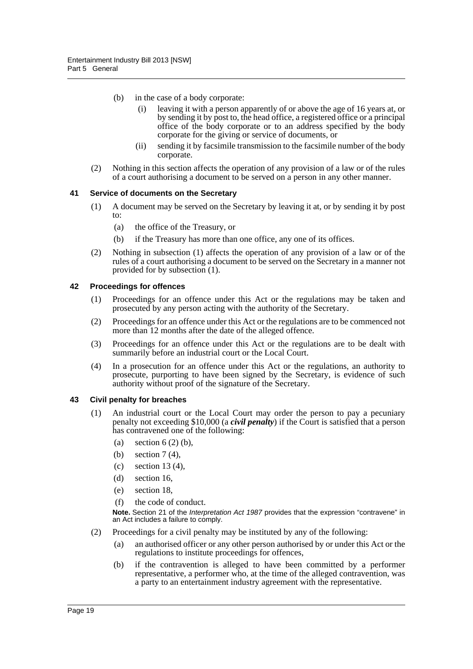- (b) in the case of a body corporate:
	- (i) leaving it with a person apparently of or above the age of 16 years at, or by sending it by post to, the head office, a registered office or a principal office of the body corporate or to an address specified by the body corporate for the giving or service of documents, or
	- (ii) sending it by facsimile transmission to the facsimile number of the body corporate.
- (2) Nothing in this section affects the operation of any provision of a law or of the rules of a court authorising a document to be served on a person in any other manner.

#### <span id="page-21-0"></span>**41 Service of documents on the Secretary**

- (1) A document may be served on the Secretary by leaving it at, or by sending it by post to:
	- (a) the office of the Treasury, or
	- (b) if the Treasury has more than one office, any one of its offices.
- (2) Nothing in subsection (1) affects the operation of any provision of a law or of the rules of a court authorising a document to be served on the Secretary in a manner not provided for by subsection (1).

#### <span id="page-21-1"></span>**42 Proceedings for offences**

- (1) Proceedings for an offence under this Act or the regulations may be taken and prosecuted by any person acting with the authority of the Secretary.
- (2) Proceedings for an offence under this Act or the regulations are to be commenced not more than 12 months after the date of the alleged offence.
- (3) Proceedings for an offence under this Act or the regulations are to be dealt with summarily before an industrial court or the Local Court.
- (4) In a prosecution for an offence under this Act or the regulations, an authority to prosecute, purporting to have been signed by the Secretary, is evidence of such authority without proof of the signature of the Secretary.

#### <span id="page-21-2"></span>**43 Civil penalty for breaches**

- (1) An industrial court or the Local Court may order the person to pay a pecuniary penalty not exceeding \$10,000 (a *civil penalty*) if the Court is satisfied that a person has contravened one of the following:
	- (a) section  $6(2)$  (b),
	- (b) section 7 (4),
	- (c) section 13 (4),
	- (d) section 16,
	- (e) section 18,
	- (f) the code of conduct.

**Note.** Section 21 of the *Interpretation Act 1987* provides that the expression "contravene" in an Act includes a failure to comply.

- (2) Proceedings for a civil penalty may be instituted by any of the following:
	- (a) an authorised officer or any other person authorised by or under this Act or the regulations to institute proceedings for offences,
	- (b) if the contravention is alleged to have been committed by a performer representative, a performer who, at the time of the alleged contravention, was a party to an entertainment industry agreement with the representative.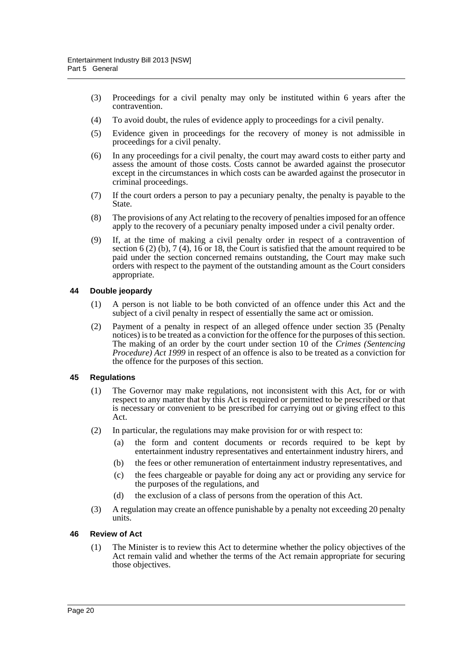- (3) Proceedings for a civil penalty may only be instituted within 6 years after the contravention.
- (4) To avoid doubt, the rules of evidence apply to proceedings for a civil penalty.
- (5) Evidence given in proceedings for the recovery of money is not admissible in proceedings for a civil penalty.
- (6) In any proceedings for a civil penalty, the court may award costs to either party and assess the amount of those costs. Costs cannot be awarded against the prosecutor except in the circumstances in which costs can be awarded against the prosecutor in criminal proceedings.
- (7) If the court orders a person to pay a pecuniary penalty, the penalty is payable to the State.
- (8) The provisions of any Act relating to the recovery of penalties imposed for an offence apply to the recovery of a pecuniary penalty imposed under a civil penalty order.
- (9) If, at the time of making a civil penalty order in respect of a contravention of section 6 (2) (b), 7 (4),  $16$  or 18, the Court is satisfied that the amount required to be paid under the section concerned remains outstanding, the Court may make such orders with respect to the payment of the outstanding amount as the Court considers appropriate.

#### <span id="page-22-0"></span>**44 Double jeopardy**

- (1) A person is not liable to be both convicted of an offence under this Act and the subject of a civil penalty in respect of essentially the same act or omission.
- (2) Payment of a penalty in respect of an alleged offence under section 35 (Penalty notices) is to be treated as a conviction for the offence for the purposes of this section. The making of an order by the court under section 10 of the *Crimes (Sentencing Procedure*) *Act 1999* in respect of an offence is also to be treated as a conviction for the offence for the purposes of this section.

#### <span id="page-22-1"></span>**45 Regulations**

- (1) The Governor may make regulations, not inconsistent with this Act, for or with respect to any matter that by this Act is required or permitted to be prescribed or that is necessary or convenient to be prescribed for carrying out or giving effect to this Act.
- (2) In particular, the regulations may make provision for or with respect to:
	- (a) the form and content documents or records required to be kept by entertainment industry representatives and entertainment industry hirers, and
	- (b) the fees or other remuneration of entertainment industry representatives, and
	- (c) the fees chargeable or payable for doing any act or providing any service for the purposes of the regulations, and
	- (d) the exclusion of a class of persons from the operation of this Act.
- (3) A regulation may create an offence punishable by a penalty not exceeding 20 penalty units.

#### <span id="page-22-2"></span>**46 Review of Act**

(1) The Minister is to review this Act to determine whether the policy objectives of the Act remain valid and whether the terms of the Act remain appropriate for securing those objectives.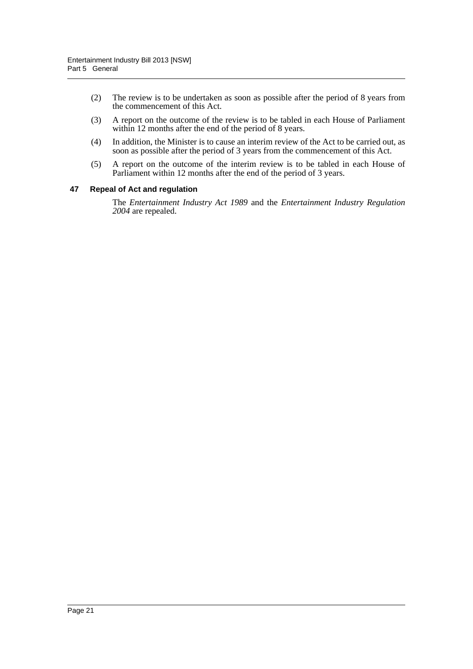- (2) The review is to be undertaken as soon as possible after the period of 8 years from the commencement of this Act.
- (3) A report on the outcome of the review is to be tabled in each House of Parliament within 12 months after the end of the period of 8 years.
- (4) In addition, the Minister is to cause an interim review of the Act to be carried out, as soon as possible after the period of 3 years from the commencement of this Act.
- (5) A report on the outcome of the interim review is to be tabled in each House of Parliament within 12 months after the end of the period of 3 years.

#### <span id="page-23-0"></span>**47 Repeal of Act and regulation**

The *Entertainment Industry Act 1989* and the *Entertainment Industry Regulation 2004* are repealed.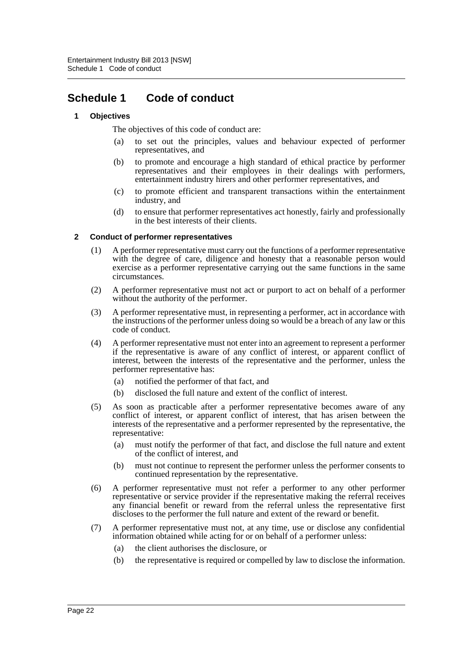# <span id="page-24-0"></span>**Schedule 1 Code of conduct**

### **1 Objectives**

The objectives of this code of conduct are:

- (a) to set out the principles, values and behaviour expected of performer representatives, and
- (b) to promote and encourage a high standard of ethical practice by performer representatives and their employees in their dealings with performers, entertainment industry hirers and other performer representatives, and
- (c) to promote efficient and transparent transactions within the entertainment industry, and
- (d) to ensure that performer representatives act honestly, fairly and professionally in the best interests of their clients.

#### **2 Conduct of performer representatives**

- (1) A performer representative must carry out the functions of a performer representative with the degree of care, diligence and honesty that a reasonable person would exercise as a performer representative carrying out the same functions in the same circumstances.
- (2) A performer representative must not act or purport to act on behalf of a performer without the authority of the performer.
- (3) A performer representative must, in representing a performer, act in accordance with the instructions of the performer unless doing so would be a breach of any law or this code of conduct.
- (4) A performer representative must not enter into an agreement to represent a performer if the representative is aware of any conflict of interest, or apparent conflict of interest, between the interests of the representative and the performer, unless the performer representative has:
	- (a) notified the performer of that fact, and
	- (b) disclosed the full nature and extent of the conflict of interest.
- (5) As soon as practicable after a performer representative becomes aware of any conflict of interest, or apparent conflict of interest, that has arisen between the interests of the representative and a performer represented by the representative, the representative:
	- (a) must notify the performer of that fact, and disclose the full nature and extent of the conflict of interest, and
	- (b) must not continue to represent the performer unless the performer consents to continued representation by the representative.
- (6) A performer representative must not refer a performer to any other performer representative or service provider if the representative making the referral receives any financial benefit or reward from the referral unless the representative first discloses to the performer the full nature and extent of the reward or benefit.
- (7) A performer representative must not, at any time, use or disclose any confidential information obtained while acting for or on behalf of a performer unless:
	- (a) the client authorises the disclosure, or
	- (b) the representative is required or compelled by law to disclose the information.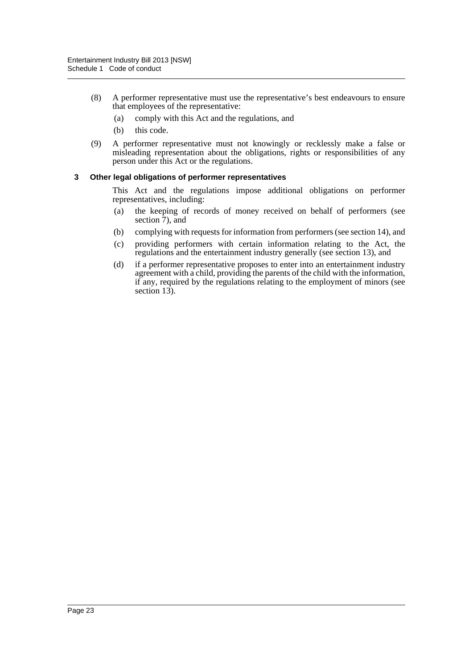- (8) A performer representative must use the representative's best endeavours to ensure that employees of the representative:
	- (a) comply with this Act and the regulations, and
	- (b) this code.
- (9) A performer representative must not knowingly or recklessly make a false or misleading representation about the obligations, rights or responsibilities of any person under this Act or the regulations.

#### **3 Other legal obligations of performer representatives**

This Act and the regulations impose additional obligations on performer representatives, including:

- (a) the keeping of records of money received on behalf of performers (see section  $\overline{7}$ ), and
- (b) complying with requests for information from performers (see section 14), and
- (c) providing performers with certain information relating to the Act, the regulations and the entertainment industry generally (see section 13), and
- (d) if a performer representative proposes to enter into an entertainment industry agreement with a child, providing the parents of the child with the information, if any, required by the regulations relating to the employment of minors (see section  $13$ ).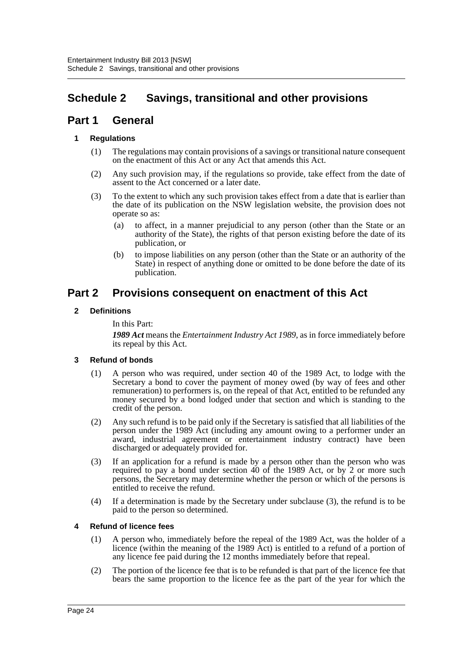# <span id="page-26-0"></span>**Schedule 2 Savings, transitional and other provisions**

# **Part 1 General**

# **1 Regulations**

- (1) The regulations may contain provisions of a savings or transitional nature consequent on the enactment of this Act or any Act that amends this Act.
- (2) Any such provision may, if the regulations so provide, take effect from the date of assent to the Act concerned or a later date.
- (3) To the extent to which any such provision takes effect from a date that is earlier than the date of its publication on the NSW legislation website, the provision does not operate so as:
	- (a) to affect, in a manner prejudicial to any person (other than the State or an authority of the State), the rights of that person existing before the date of its publication, or
	- (b) to impose liabilities on any person (other than the State or an authority of the State) in respect of anything done or omitted to be done before the date of its publication.

# **Part 2 Provisions consequent on enactment of this Act**

# **2 Definitions**

In this Part:

*1989 Act* means the *Entertainment Industry Act 1989*, as in force immediately before its repeal by this Act.

# **3 Refund of bonds**

- (1) A person who was required, under section 40 of the 1989 Act, to lodge with the Secretary a bond to cover the payment of money owed (by way of fees and other remuneration) to performers is, on the repeal of that Act, entitled to be refunded any money secured by a bond lodged under that section and which is standing to the credit of the person.
- (2) Any such refund is to be paid only if the Secretary is satisfied that all liabilities of the person under the 1989 Act (including any amount owing to a performer under an award, industrial agreement or entertainment industry contract) have been discharged or adequately provided for.
- (3) If an application for a refund is made by a person other than the person who was required to pay a bond under section 40 of the 1989 Act, or by 2 or more such persons, the Secretary may determine whether the person or which of the persons is entitled to receive the refund.
- (4) If a determination is made by the Secretary under subclause (3), the refund is to be paid to the person so determined.

# **4 Refund of licence fees**

- (1) A person who, immediately before the repeal of the 1989 Act, was the holder of a licence (within the meaning of the 1989 Act) is entitled to a refund of a portion of any licence fee paid during the 12 months immediately before that repeal.
- (2) The portion of the licence fee that is to be refunded is that part of the licence fee that bears the same proportion to the licence fee as the part of the year for which the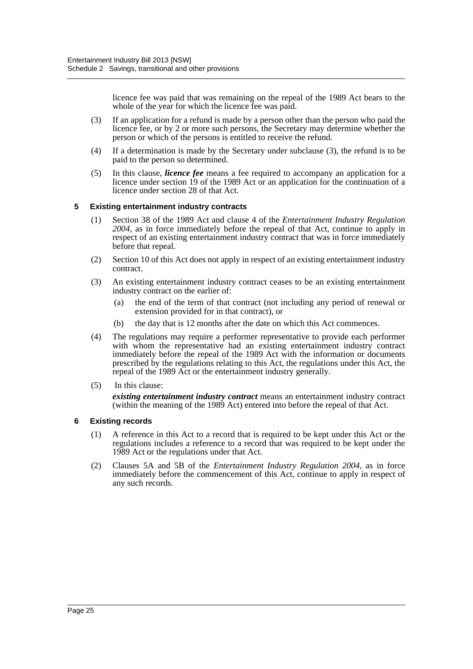licence fee was paid that was remaining on the repeal of the 1989 Act bears to the whole of the year for which the licence fee was paid.

- (3) If an application for a refund is made by a person other than the person who paid the licence fee, or by 2 or more such persons, the Secretary may determine whether the person or which of the persons is entitled to receive the refund.
- (4) If a determination is made by the Secretary under subclause (3), the refund is to be paid to the person so determined.
- (5) In this clause, *licence fee* means a fee required to accompany an application for a licence under section 19 of the 1989 Act or an application for the continuation of a licence under section 28 of that Act.

### **5 Existing entertainment industry contracts**

- (1) Section 38 of the 1989 Act and clause 4 of the *Entertainment Industry Regulation 2004*, as in force immediately before the repeal of that Act, continue to apply in respect of an existing entertainment industry contract that was in force immediately before that repeal.
- (2) Section 10 of this Act does not apply in respect of an existing entertainment industry contract.
- (3) An existing entertainment industry contract ceases to be an existing entertainment industry contract on the earlier of:
	- (a) the end of the term of that contract (not including any period of renewal or extension provided for in that contract), or
	- (b) the day that is 12 months after the date on which this Act commences.
- (4) The regulations may require a performer representative to provide each performer with whom the representative had an existing entertainment industry contract immediately before the repeal of the 1989 Act with the information or documents prescribed by the regulations relating to this Act, the regulations under this Act, the repeal of the 1989 Act or the entertainment industry generally.
- (5) In this clause: *existing entertainment industry contract* means an entertainment industry contract (within the meaning of the 1989 Act) entered into before the repeal of that Act.

#### **6 Existing records**

- (1) A reference in this Act to a record that is required to be kept under this Act or the regulations includes a reference to a record that was required to be kept under the 1989 Act or the regulations under that Act.
- (2) Clauses 5A and 5B of the *Entertainment Industry Regulation 2004*, as in force immediately before the commencement of this Act, continue to apply in respect of any such records.